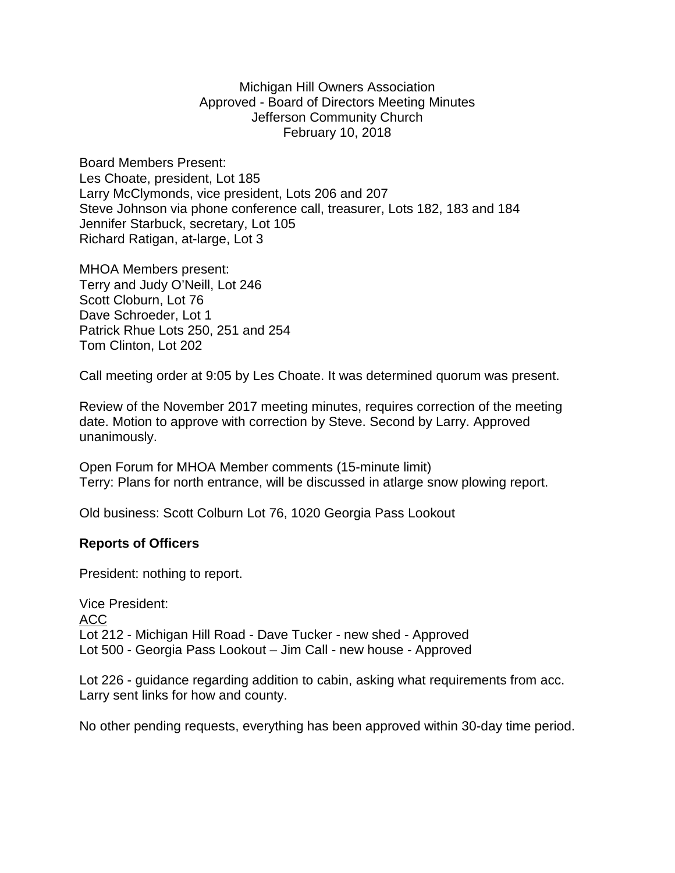Michigan Hill Owners Association Approved - Board of Directors Meeting Minutes Jefferson Community Church February 10, 2018

Board Members Present: Les Choate, president, Lot 185 Larry McClymonds, vice president, Lots 206 and 207 Steve Johnson via phone conference call, treasurer, Lots 182, 183 and 184 Jennifer Starbuck, secretary, Lot 105 Richard Ratigan, at-large, Lot 3

MHOA Members present: Terry and Judy O'Neill, Lot 246 Scott Cloburn, Lot 76 Dave Schroeder, Lot 1 Patrick Rhue Lots 250, 251 and 254 Tom Clinton, Lot 202

Call meeting order at 9:05 by Les Choate. It was determined quorum was present.

Review of the November 2017 meeting minutes, requires correction of the meeting date. Motion to approve with correction by Steve. Second by Larry. Approved unanimously.

Open Forum for MHOA Member comments (15-minute limit) Terry: Plans for north entrance, will be discussed in atlarge snow plowing report.

Old business: Scott Colburn Lot 76, 1020 Georgia Pass Lookout

## **Reports of Officers**

President: nothing to report.

Vice President: ACC Lot 212 - Michigan Hill Road - Dave Tucker - new shed - Approved Lot 500 - Georgia Pass Lookout – Jim Call - new house - Approved

Lot 226 - guidance regarding addition to cabin, asking what requirements from acc. Larry sent links for how and county.

No other pending requests, everything has been approved within 30-day time period.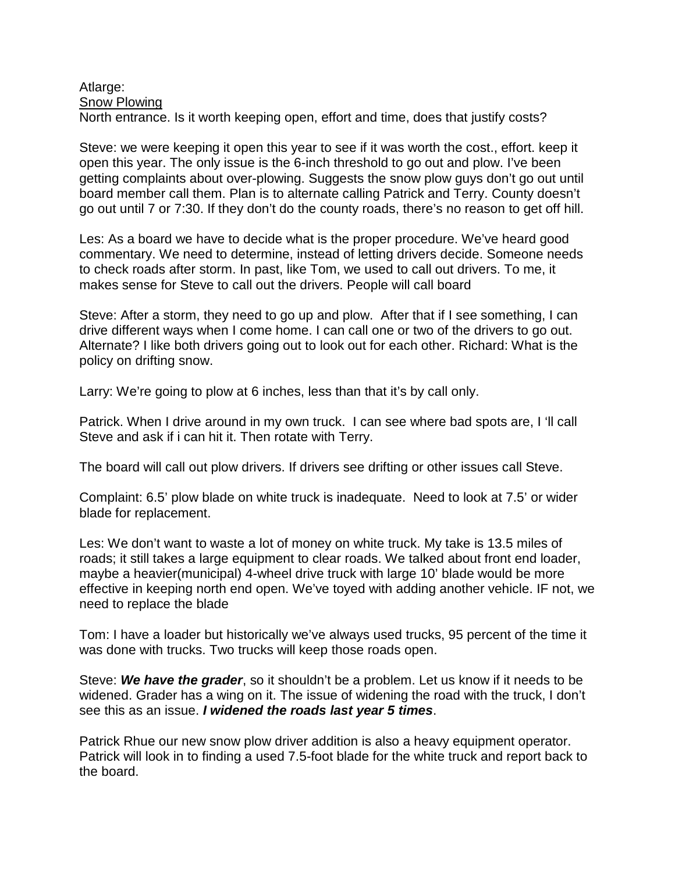## Atlarge: Snow Plowing North entrance. Is it worth keeping open, effort and time, does that justify costs?

Steve: we were keeping it open this year to see if it was worth the cost., effort. keep it open this year. The only issue is the 6-inch threshold to go out and plow. I've been getting complaints about over-plowing. Suggests the snow plow guys don't go out until board member call them. Plan is to alternate calling Patrick and Terry. County doesn't go out until 7 or 7:30. If they don't do the county roads, there's no reason to get off hill.

Les: As a board we have to decide what is the proper procedure. We've heard good commentary. We need to determine, instead of letting drivers decide. Someone needs to check roads after storm. In past, like Tom, we used to call out drivers. To me, it makes sense for Steve to call out the drivers. People will call board

Steve: After a storm, they need to go up and plow. After that if I see something, I can drive different ways when I come home. I can call one or two of the drivers to go out. Alternate? I like both drivers going out to look out for each other. Richard: What is the policy on drifting snow.

Larry: We're going to plow at 6 inches, less than that it's by call only.

Patrick. When I drive around in my own truck. I can see where bad spots are, I 'll call Steve and ask if i can hit it. Then rotate with Terry.

The board will call out plow drivers. If drivers see drifting or other issues call Steve.

Complaint: 6.5' plow blade on white truck is inadequate. Need to look at 7.5' or wider blade for replacement.

Les: We don't want to waste a lot of money on white truck. My take is 13.5 miles of roads; it still takes a large equipment to clear roads. We talked about front end loader, maybe a heavier(municipal) 4-wheel drive truck with large 10' blade would be more effective in keeping north end open. We've toyed with adding another vehicle. IF not, we need to replace the blade

Tom: I have a loader but historically we've always used trucks, 95 percent of the time it was done with trucks. Two trucks will keep those roads open.

Steve: *We have the grader*, so it shouldn't be a problem. Let us know if it needs to be widened. Grader has a wing on it. The issue of widening the road with the truck, I don't see this as an issue. *I widened the roads last year 5 times*.

Patrick Rhue our new snow plow driver addition is also a heavy equipment operator. Patrick will look in to finding a used 7.5-foot blade for the white truck and report back to the board.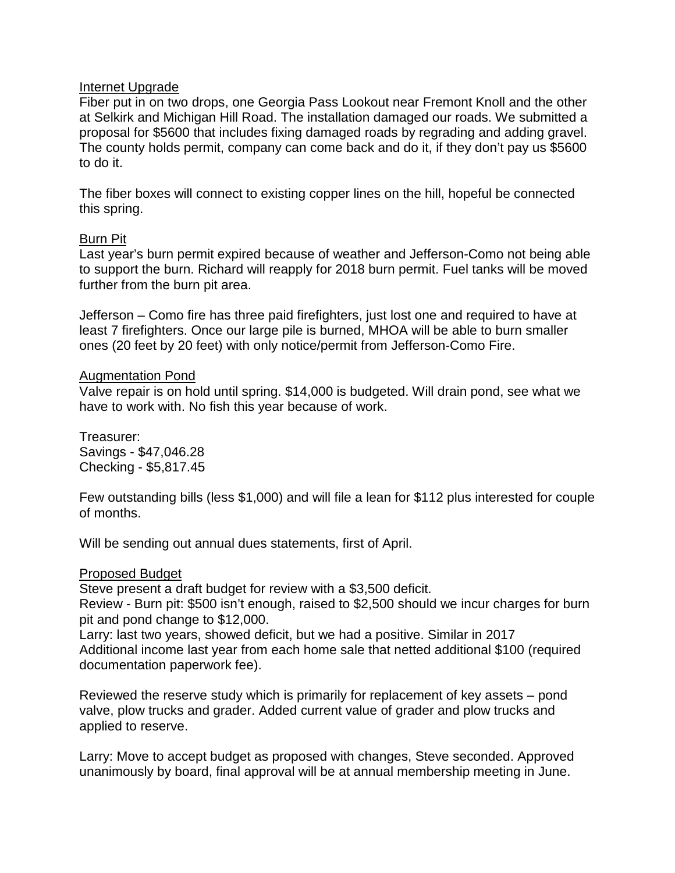# Internet Upgrade

Fiber put in on two drops, one Georgia Pass Lookout near Fremont Knoll and the other at Selkirk and Michigan Hill Road. The installation damaged our roads. We submitted a proposal for \$5600 that includes fixing damaged roads by regrading and adding gravel. The county holds permit, company can come back and do it, if they don't pay us \$5600 to do it.

The fiber boxes will connect to existing copper lines on the hill, hopeful be connected this spring.

## Burn Pit

Last year's burn permit expired because of weather and Jefferson-Como not being able to support the burn. Richard will reapply for 2018 burn permit. Fuel tanks will be moved further from the burn pit area.

Jefferson – Como fire has three paid firefighters, just lost one and required to have at least 7 firefighters. Once our large pile is burned, MHOA will be able to burn smaller ones (20 feet by 20 feet) with only notice/permit from Jefferson-Como Fire.

# Augmentation Pond

Valve repair is on hold until spring. \$14,000 is budgeted. Will drain pond, see what we have to work with. No fish this year because of work.

Treasurer: Savings - \$47,046.28 Checking - \$5,817.45

Few outstanding bills (less \$1,000) and will file a lean for \$112 plus interested for couple of months.

Will be sending out annual dues statements, first of April.

## Proposed Budget

Steve present a draft budget for review with a \$3,500 deficit.

Review - Burn pit: \$500 isn't enough, raised to \$2,500 should we incur charges for burn pit and pond change to \$12,000.

Larry: last two years, showed deficit, but we had a positive. Similar in 2017 Additional income last year from each home sale that netted additional \$100 (required documentation paperwork fee).

Reviewed the reserve study which is primarily for replacement of key assets – pond valve, plow trucks and grader. Added current value of grader and plow trucks and applied to reserve.

Larry: Move to accept budget as proposed with changes, Steve seconded. Approved unanimously by board, final approval will be at annual membership meeting in June.